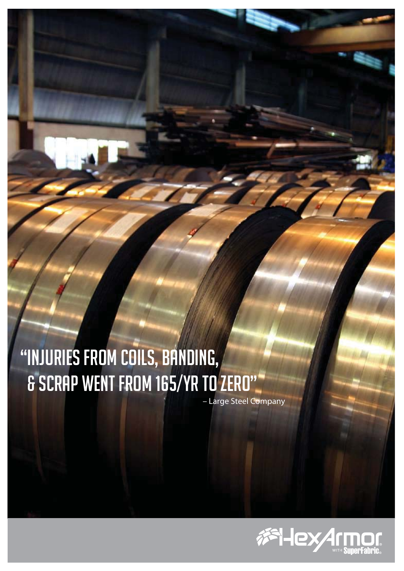## "Injuries from coils, banding, & scrap went from 165/yr to zero"

– Large Steel Company